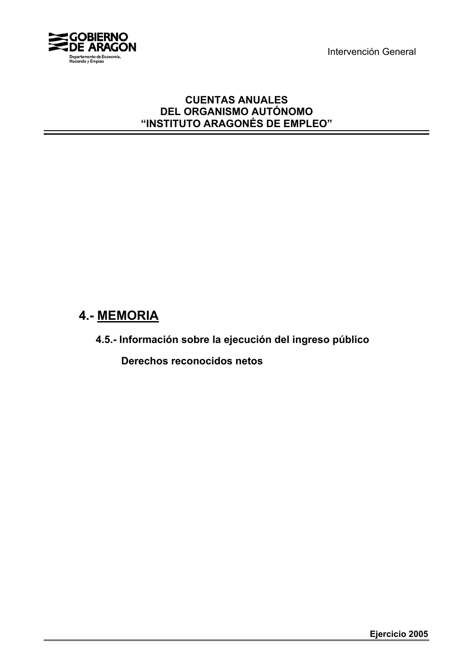Intervención General



# **CUENTAS ANUALES DEL ORGANISMO AUTÓNOMO "INSTITUTO ARAGONÉS DE EMPLEO"**

# **4.- MEMORIA**

**4.5.- Información sobre la ejecución del ingreso público**

 **Derechos reconocidos netos**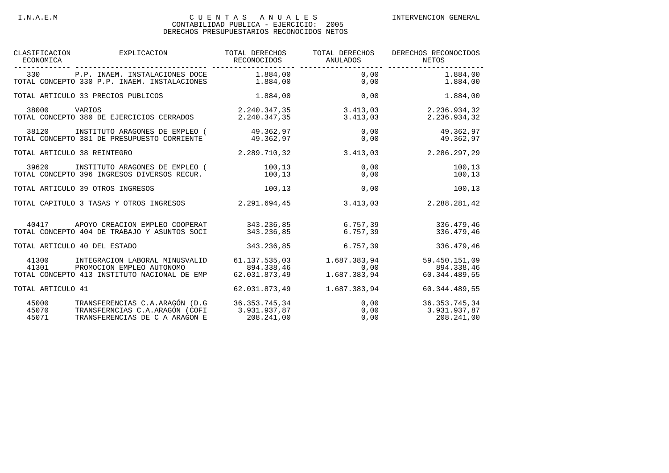### I.N.A.E.M C U E N T A S A N U A L E S INTERVENCION GENERAL

#### CONTABILIDAD PUBLICA - EJERCICIO: 2005 DERECHOS PRESUPUESTARIOS RECONOCIDOS NETOS

| ECONOMICA               | CLASIFICACION EXPLICACION                                                                                            | TOTAL DERECHOS<br>RECONOCIDOS                | TOTAL DERECHOS<br>ANULADOS | DERECHOS RECONOCIDOS<br>NETOS<br>-------------------       |
|-------------------------|----------------------------------------------------------------------------------------------------------------------|----------------------------------------------|----------------------------|------------------------------------------------------------|
|                         | 330 P.P. INAEM. INSTALACIONES DOCE 1.884,00 0,00 0.00 1.884,00<br>TOTAL CONCEPTO 330 P.P. INAEM. INSTALACIONES       | 1.884,00                                     | 0,00                       | 1.884,00                                                   |
|                         | TOTAL ARTICULO 33 PRECIOS PUBLICOS                                                                                   |                                              | 1.884,00                   | 0,00<br>1.884,00                                           |
| 38000                   | VARIOS<br>TOTAL CONCEPTO 380 DE EJERCICIOS CERRADOS                                                                  |                                              | 2.240.347,35 3.413,03      | 2.240.347,35 3.413,03 2.236.934,32<br>2.236.934,32         |
| 38120                   | INSTITUTO ARAGONES DE EMPLEO (49.362,97 0,00 49.362,97<br>TOTAL CONCEPTO 381 DE PRESUPUESTO CORRIENTE 49.362,97 0,00 |                                              |                            | 49.362,97                                                  |
|                         | TOTAL ARTICULO 38 REINTEGRO                                                                                          |                                              | 2.289.710.32 3.413.03      | 2.286.297,29                                               |
| 39620                   | INSTITUTO ARAGONES DE EMPLEO (<br>TOTAL CONCEPTO 396 INGRESOS DIVERSOS RECUR.                                        | 100,13<br>100,13                             | 0,00<br>0,00               | 100,13<br>100,13                                           |
|                         | TOTAL ARTICULO 39 OTROS INGRESOS                                                                                     | 100,13                                       | 0,00                       | 100,13                                                     |
|                         | TOTAL CAPITULO 3 TASAS Y OTROS INGRESOS                                                                              | 2.291.694.45                                 | 3.413.03                   | 2.288.281,42                                               |
|                         | 40417 APOYO CREACION EMPLEO COOPERAT 343.236,85 6.757,39 336.479,46<br>TOTAL CONCEPTO 404 DE TRABAJO Y ASUNTOS SOCI  | 343.236.85                                   | 6.757.39                   | 336.479.46                                                 |
|                         | TOTAL ARTICULO 40 DEL ESTADO                                                                                         | 343.236,85                                   | 6.757, 39                  | 336.479,46                                                 |
| 41300<br>41301          | INTEGRACION LABORAL MINUSVALID<br>PROMOCION EMPLEO AUTONOMO<br>TOTAL CONCEPTO 413 INSTITUTO NACIONAL DE EMP          | 61.137.535,03<br>894.338,46<br>62.031.873,49 |                            |                                                            |
| TOTAL ARTICULO 41       |                                                                                                                      | 62.031.873,49                                | 1.687.383,94               | 60.344.489,55                                              |
| 45000<br>45070<br>45071 | TRANSFERENCIAS C.A.ARAGÓN (D.G 36.353.745,34<br>TRANSFERNCIAS C.A.ARAGÓN (COFI<br>TRANSFERENCIAS DE C A ARAGON E     | 3.931.937,87<br>3.931.937,87<br>208.241,00   |                            | 0,00 36.353.745,34<br>0,00 3.931.937,87<br>0,00 208.241,00 |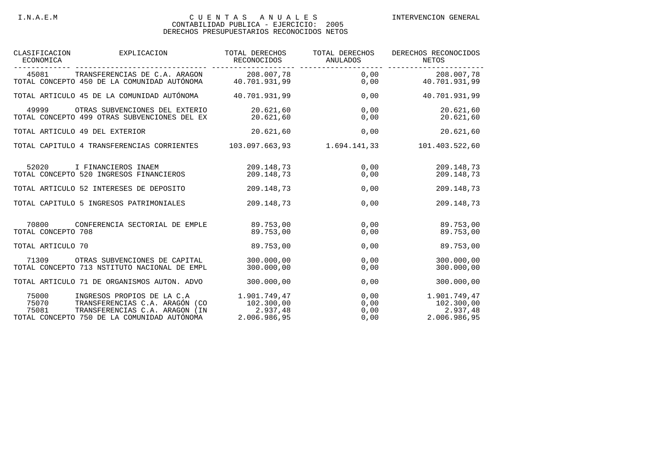#### I.N.A.E.M C U E N T A S A N U A L E S INTERVENCION GENERAL

#### CONTABILIDAD PUBLICA - EJERCICIO: 2005 DERECHOS PRESUPUESTARIOS RECONOCIDOS NETOS

| ECONOMICA                                 | CLASIFICACION EXPLICACION                                                                                                                     | TOTAL DERECHOS<br>RECONOCIDOS                          | TOTAL DERECHOS<br>ANULADOS   | DERECHOS RECONOCIDOS<br>NETOS                          |
|-------------------------------------------|-----------------------------------------------------------------------------------------------------------------------------------------------|--------------------------------------------------------|------------------------------|--------------------------------------------------------|
|                                           | 45081 TRANSFERENCIAS DE C.A. ARAGON 208.007,78<br>TOTAL CONCEPTO 450 DE LA COMUNIDAD AUTÓNOMA 40.701.931,99                                   | 208.007,78                                             | 0,00<br>0,00                 | 208.007,78<br>40.701.931,99                            |
|                                           | TOTAL ARTICULO 45 DE LA COMUNIDAD AUTÓNOMA 40.701.931.99                                                                                      |                                                        | 0,00                         | 40.701.931,99                                          |
| 49999                                     | OTRAS SUBVENCIONES DEL EXTERIO<br>TOTAL CONCEPTO 499 OTRAS SUBVENCIONES DEL EX                                                                | 20.621,60<br>20.621,60                                 | 0,00<br>0,00                 | 20.621,60<br>20.621,60                                 |
| TOTAL ARTICULO 49 DEL EXTERIOR            |                                                                                                                                               | 20.621,60                                              | 0,00                         | 20.621,60                                              |
|                                           | TOTAL CAPITULO 4 TRANSFERENCIAS CORRIENTES 103.097.663,93 1.694.141,33                                                                        |                                                        |                              | 101.403.522,60                                         |
| 52020                                     | I FINANCIEROS INAEM<br>TOTAL CONCEPTO 520 INGRESOS FINANCIEROS                                                                                | 209.148,73<br>209.148.73                               | 0,00                         | 0,00<br>209.148,73<br>209.148.73                       |
|                                           | TOTAL ARTICULO 52 INTERESES DE DEPOSITO                                                                                                       | 209.148,73                                             | 0,00                         | 209.148,73                                             |
|                                           | TOTAL CAPITULO 5 INGRESOS PATRIMONIALES                                                                                                       | 209.148,73                                             | 0,00                         | 209.148,73                                             |
| 70800<br>TOTAL CONCEPTO 708               | CONFERENCIA SECTORIAL DE EMPLE                                                                                                                | 89.753,00<br>89.753.00                                 | 0,00<br>0,00                 | 89.753,00<br>89.753.00                                 |
| TOTAL ARTICULO 70                         |                                                                                                                                               | 89.753.00                                              | 0,00                         | 89.753.00                                              |
| 71309                                     | OTRAS SUBVENCIONES DE CAPITAL 300.000,00<br>TOTAL CONCEPTO 713 NSTITUTO NACIONAL DE EMPL                                                      | 300,000,00                                             | 0,00<br>0,00                 | 300.000,00<br>300.000.00                               |
|                                           | TOTAL ARTICULO 71 DE ORGANISMOS AUTON. ADVO                                                                                                   | 300.000,00                                             | 0,00                         | 300.000,00                                             |
| 75000<br>75070<br>75070<br>75081<br>75081 | INGRESOS PROPIOS DE LA C.A<br>TRANSFERENCIAS C.A. ARAGÓN (CO<br>TRANSFERENCIAS C.A. ARAGON (IN<br>TOTAL CONCEPTO 750 DE LA COMUNIDAD AUTÓNOMA | 1.901.749,47<br>102.300,00<br>2.937,48<br>2.006.986,95 | 0,00<br>0,00<br>0,00<br>0,00 | 1.901.749,47<br>102.300,00<br>2.937,48<br>2.006.986,95 |